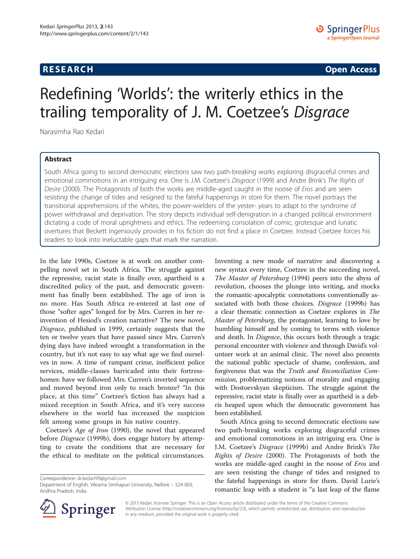## **RESEARCH RESEARCH CONSUMING ACCESS**

# Redefining 'Worlds': the writerly ethics in the trailing temporality of J. M. Coetzee'<sup>s</sup> Disgrace

Narasimha Rao Kedari

## Abstract

South Africa going to second democratic elections saw two path-breaking works exploring disgraceful crimes and emotional commotions in an intriguing era. One is J.M. Coetzee'<sup>s</sup> Disgrace (1999) and Andre Brink'<sup>s</sup> The Rights of Desire (2000). The Protagonists of both the works are middle-aged caught in the noose of Eros and are seen resisting the change of tides and resigned to the fateful happenings in store for them. The novel portrays the transitional apprehensions of the whites, the power-wielders of the yester- years to adapt to the syndrome of power withdrawal and deprivation. The story depicts individual self-denigration in a changed political environment dictating a code of moral uprightness and ethics. The redeeming consolation of comic, grotesque and lunatic overtures that Beckett ingeniously provides in his fiction do not find a place in Coetzee. Instead Coetzee forces his readers to look into ineluctable gaps that mark the narration.

In the late 1990s, Coetzee is at work on another compelling novel set in South Africa. The struggle against the repressive, racist state is finally over, apartheid is a discredited policy of the past, and democratic government has finally been established. The age of iron is no more. Has South Africa re-entered at last one of those "softer ages" longed for by Mrs. Curren in her reinvention of Hesiod's creation narrative? The new novel, Disgrace, published in 1999, certainly suggests that the ten or twelve years that have passed since Mrs. Curren's dying days have indeed wrought a transformation in the country, but it's not easy to say what age we find ourselves in now. A time of rampant crime, inefficient police services, middle-classes barricaded into their fortresshomes: have we followed Mrs. Curren's inverted sequence and moved beyond iron only to reach bronze? "In this place, at this time" Coetzee's fiction has always had a mixed reception in South Africa, and it's very success elsewhere in the world has increased the suspicion felt among some groups in his native country.

Coetzee's Age of Iron (1990), the novel that appeared before Disgrace ([1999b\)](#page-7-0), does engage history by attempting to create the conditions that are necessary for the ethical to meditate on the political circumstances.

Correspondence: [dr.kedari99@gmail.com](mailto:dr.kedari99@gmail.com)

Department of English, Vikrama Simhapuri University, Nellore – 524 003, Andhra Pradesh, India

Inventing a new mode of narrative and discovering a new syntax every time, Coetzee in the succeeding novel, The Master of Petersburg (1994) peers into the abyss of revolution, chooses the plunge into writing, and mocks the romantic-apocalyptic connotations conventionally as-sociated with both those choices. Disgrace ([1999b](#page-7-0)) has a clear thematic connection as Coetzee explores in The Master of Petersburg, the protagonist, learning to love by humbling himself and by coming to terms with violence and death. In *Disgrace*, this occurs both through a tragic personal encounter with violence and through David's volunteer work at an animal clinic. The novel also presents the national public spectacle of shame, confession, and forgiveness that was the Truth and Reconciliation Commission, problematizing notions of morality and engaging with Dostoevskyan skepticism. The struggle against the repressive, racist state is finally over as apartheid is a debris heaped upon which the democratic government has been established.

South Africa going to second democratic elections saw two path-breaking works exploring disgraceful crimes and emotional commotions in an intriguing era. One is J.M. Coetzee's Disgrace ([1999b](#page-7-0)) and Andre Brink's The Rights of Desire (2000). The Protagonists of both the works are middle-aged caught in the noose of Eros and are seen resisting the change of tides and resigned to the fateful happenings in store for them. David Lurie's romantic leap with a student is "a last leap of the flame



© 2013 Kedari; licensee Springer. This is an Open Access article distributed under the terms of the Creative Commons Attribution License [\(http://creativecommons.org/licenses/by/2.0\)](http://creativecommons.org/licenses/by/2.0), which permits unrestricted use, distribution, and reproduction in any medium, provided the original work is properly cited.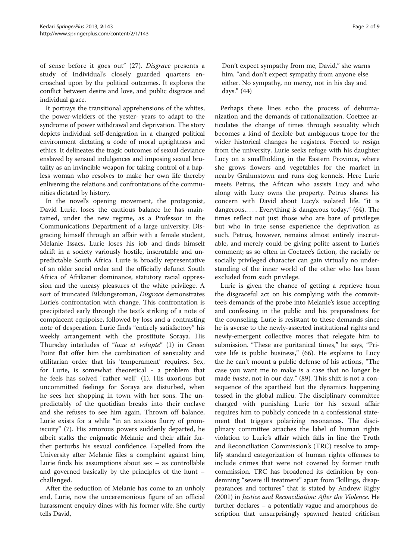of sense before it goes out" (27). Disgrace presents a study of Individual's closely guarded quarters encroached upon by the political outcomes. It explores the conflict between desire and love, and public disgrace and individual grace.

It portrays the transitional apprehensions of the whites, the power-wielders of the yester- years to adapt to the syndrome of power withdrawal and deprivation. The story depicts individual self-denigration in a changed political environment dictating a code of moral uprightness and ethics. It delineates the tragic outcomes of sexual deviance enslaved by sensual indulgences and imposing sexual brutality as an invincible weapon for taking control of a hapless woman who resolves to make her own life thereby enlivening the relations and confrontations of the communities dictated by history.

In the novel's opening movement, the protagonist, David Lurie, loses the cautious balance he has maintained, under the new regime, as a Professor in the Communications Department of a large university. Disgracing himself through an affair with a female student, Melanie Issacs, Lurie loses his job and finds himself adrift in a society variously hostile, inscrutable and unpredictable South Africa. Lurie is broadly representative of an older social order and the officially defunct South Africa of Afrikaner dominance, statutory racial oppression and the uneasy pleasures of the white privilege. A sort of truncated Bildungsroman, Disgrace demonstrates Lurie's confrontation with change. This confrontation is precipitated early through the text's striking of a note of complacent equipoise, followed by loss and a contrasting note of desperation. Lurie finds "entirely satisfactory" his weekly arrangement with the prostitute Soraya. His Thursday interludes of "luxe et volupte" (1) in Green Point flat offer him the combination of sensuality and utilitarian order that his 'temperament' requires. Sex, for Lurie, is somewhat theoretical - a problem that he feels has solved "rather well" (1). His uxorious but uncommitted feelings for Soraya are disturbed, when he sees her shopping in town with her sons. The unpredictably of the quotidian breaks into their enclave and she refuses to see him again. Thrown off balance, Lurie exists for a while "in an anxious flurry of promiscuity" (7). His amorous powers suddenly departed, he albeit stalks the enigmatic Melanie and their affair further perturbs his sexual confidence. Expelled from the University after Melanie files a complaint against him, Lurie finds his assumptions about sex – as controllable and governed basically by the principles of the hunt – challenged.

After the seduction of Melanie has come to an unholy end, Lurie, now the unceremonious figure of an official harassment enquiry dines with his former wife. She curtly tells David,

Don't expect sympathy from me, David," she warns him, "and don't expect sympathy from anyone else either. No sympathy, no mercy, not in his day and days." (44)

Perhaps these lines echo the process of dehumanization and the demands of rationalization. Coetzee articulates the change of times through sexuality which becomes a kind of flexible but ambiguous trope for the wider historical changes he registers. Forced to resign from the university, Lurie seeks refuge with his daughter Lucy on a smallholding in the Eastern Province, where she grows flowers and vegetables for the market in nearby Grahmstown and runs dog kennels. Here Lurie meets Petrus, the African who assists Lucy and who along with Lucy owns the property. Petrus shares his concern with David about Lucy's isolated life. "it is dangerous,... . Everything is dangerous today," (64). The times reflect not just those who are bare of privileges but who in true sense experience the deprivation as such. Petrus, however, remains almost entirely inscrutable, and merely could be giving polite assent to Lurie's comment; as so often in Coetzee's fiction, the racially or socially privileged character can gain virtually no understanding of the inner world of the other who has been excluded from such privilege.

Lurie is given the chance of getting a reprieve from the disgraceful act on his complying with the committee's demands of the probe into Melanie's issue accepting and confessing in the public and his preparedness for the counseling. Lurie is resistant to these demands since he is averse to the newly-asserted institutional rights and newly-emergent collective mores that relegate him to submission. "These are puritanical times," he says, "Private life is public business," (66). He explains to Lucy the he can't mount a public defense of his actions, "The case you want me to make is a case that no longer be made *basta*, not in our day." (89). This shift is not a consequence of the apartheid but the dynamics happening tossed in the global milieu. The disciplinary committee charged with punishing Lurie for his sexual affair requires him to publicly concede in a confessional statement that triggers polarizing resonances. The disciplinary committee attaches the label of human rights violation to Lurie's affair which falls in line the Truth and Reconciliation Commission's (TRC) resolve to amplify standard categorization of human rights offenses to include crimes that were not covered by former truth commission. TRC has broadened its definition by condemning "severe ill treatment" apart from "killings, disappearances and tortures" that is stated by Andrew Rigby ([2001](#page-8-0)) in Justice and Reconciliation: After the Violence. He further declares – a potentially vague and amorphous description that unsurprisingly spawned heated criticism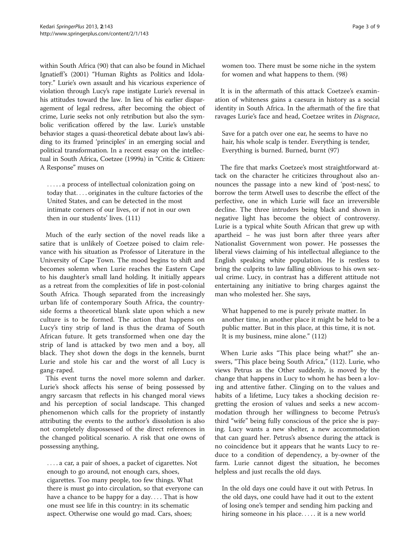within South Africa (90) that can also be found in Michael Ignatieff's [\(2001\)](#page-7-0) "Human Rights as Politics and Idolatory." Lurie's own assault and his vicarious experience of violation through Lucy's rape instigate Lurie's reversal in his attitudes toward the law. In lieu of his earlier disparagement of legal redress, after becoming the object of crime, Lurie seeks not only retribution but also the symbolic verification offered by the law. Lurie's unstable behavior stages a quasi-theoretical debate about law's abiding to its framed 'principles' in an emerging social and political transformation. In a recent essay on the intellectual in South Africa, Coetzee [\(1999a\)](#page-7-0) in "Critic & Citizen: A Response" muses on

... . . a process of intellectual colonization going on today that... . originates in the culture factories of the United States, and can be detected in the most intimate corners of our lives, or if not in our own then in our students' lives. (111)

Much of the early section of the novel reads like a satire that is unlikely of Coetzee poised to claim relevance with his situation as Professor of Literature in the University of Cape Town. The mood begins to shift and becomes solemn when Lurie reaches the Eastern Cape to his daughter's small land holding. It initially appears as a retreat from the complexities of life in post-colonial South Africa. Though separated from the increasingly urban life of contemporary South Africa, the countryside forms a theoretical blank slate upon which a new culture is to be formed. The action that happens on Lucy's tiny strip of land is thus the drama of South African future. It gets transformed when one day the strip of land is attacked by two men and a boy, all black. They shot down the dogs in the kennels, burnt Lurie and stole his car and the worst of all Lucy is gang-raped.

This event turns the novel more solemn and darker. Lurie's shock affects his sense of being possessed by angry sarcasm that reflects in his changed moral views and his perception of social landscape. This changed phenomenon which calls for the propriety of instantly attributing the events to the author's dissolution is also not completely dispossessed of the direct references in the changed political scenario. A risk that one owns of possessing anything,

... . a car, a pair of shoes, a packet of cigarettes. Not enough to go around, not enough cars, shoes, cigarettes. Too many people, too few things. What there is must go into circulation, so that everyone can have a chance to be happy for a day... . That is how one must see life in this country: in its schematic aspect. Otherwise one would go mad. Cars, shoes;

women too. There must be some niche in the system for women and what happens to them. (98)

It is in the aftermath of this attack Coetzee's examination of whiteness gains a caesura in history as a social identity in South Africa. In the aftermath of the fire that ravages Lurie's face and head, Coetzee writes in Disgrace,

Save for a patch over one ear, he seems to have no hair, his whole scalp is tender. Everything is tender, Everything is burned. Burned, burnt (97)

The fire that marks Coetzee's most straightforward attack on the character he criticizes throughout also announces the passage into a new kind of 'post-ness', to borrow the term Atwell uses to describe the effect of the perfective, one in which Lurie will face an irreversible decline. The three intruders being black and shown in negative light has become the object of controversy. Lurie is a typical white South African that grew up with apartheid – he was just born after three years after Nationalist Government won power. He possesses the liberal views claiming of his intellectual allegiance to the English speaking white population. He is restless to bring the culprits to law falling oblivious to his own sexual crime. Lucy, in contrast has a different attitude not entertaining any initiative to bring charges against the man who molested her. She says,

What happened to me is purely private matter. In another time, in another place it might be held to be a public matter. But in this place, at this time, it is not. It is my business, mine alone." (112)

When Lurie asks "This place being what?" she answers, "This place being South Africa," (112). Lurie, who views Petrus as the Other suddenly, is moved by the change that happens in Lucy to whom he has been a loving and attentive father. Clinging on to the values and habits of a lifetime, Lucy takes a shocking decision regretting the erosion of values and seeks a new accommodation through her willingness to become Petrus's third "wife" being fully conscious of the price she is paying. Lucy wants a new shelter, a new accommodation that can guard her. Petrus's absence during the attack is no coincidence but it appears that he wants Lucy to reduce to a condition of dependency, a by-owner of the farm. Lurie cannot digest the situation, he becomes helpless and just recalls the old days.

In the old days one could have it out with Petrus. In the old days, one could have had it out to the extent of losing one's temper and sending him packing and hiring someone in his place... . . it is a new world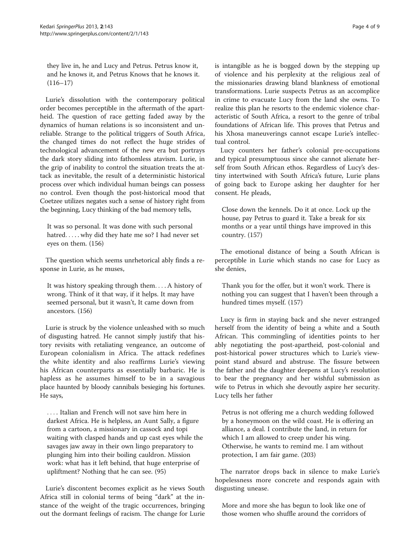they live in, he and Lucy and Petrus. Petrus know it, and he knows it, and Petrus Knows that he knows it.  $(116–17)$ 

Lurie's dissolution with the contemporary political order becomes perceptible in the aftermath of the apartheid. The question of race getting faded away by the dynamics of human relations is so inconsistent and unreliable. Strange to the political triggers of South Africa, the changed times do not reflect the huge strides of technological advancement of the new era but portrays the dark story sliding into fathomless atavism. Lurie, in the grip of inability to control the situation treats the attack as inevitable, the result of a deterministic historical process over which individual human beings can possess no control. Even though the post-historical mood that Coetzee utilizes negates such a sense of history right from the beginning, Lucy thinking of the bad memory tells,

It was so personal. It was done with such personal hatred... . . why did they hate me so? I had never set eyes on them. (156)

The question which seems unrhetorical ably finds a response in Lurie, as he muses,

It was history speaking through them... . A history of wrong. Think of it that way, if it helps. It may have seemed personal, but it wasn't, It came down from ancestors. (156)

Lurie is struck by the violence unleashed with so much of disgusting hatred. He cannot simply justify that history revisits with retaliating vengeance, an outcome of European colonialism in Africa. The attack redefines the white identity and also reaffirms Lurie's viewing his African counterparts as essentially barbaric. He is hapless as he assumes himself to be in a savagious place haunted by bloody cannibals besieging his fortunes. He says,

... . Italian and French will not save him here in darkest Africa. He is helpless, an Aunt Sally, a figure from a cartoon, a missionary in cassock and topi waiting with clasped hands and up cast eyes while the savages jaw away in their own lingo preparatory to plunging him into their boiling cauldron. Mission work: what has it left behind, that huge enterprise of upliftment? Nothing that he can see. (95)

Lurie's discontent becomes explicit as he views South Africa still in colonial terms of being "dark" at the instance of the weight of the tragic occurrences, bringing out the dormant feelings of racism. The change for Lurie is intangible as he is bogged down by the stepping up of violence and his perplexity at the religious zeal of the missionaries drawing bland blankness of emotional transformations. Lurie suspects Petrus as an accomplice in crime to evacuate Lucy from the land she owns. To realize this plan he resorts to the endemic violence characteristic of South Africa, a resort to the genre of tribal foundations of African life. This proves that Petrus and his Xhosa maneuverings cannot escape Lurie's intellectual control.

Lucy counters her father's colonial pre-occupations and typical presumptuous since she cannot alienate herself from South African ethos. Regardless of Lucy's destiny intertwined with South Africa's future, Lurie plans of going back to Europe asking her daughter for her consent. He pleads,

Close down the kennels. Do it at once. Lock up the house, pay Petrus to guard it. Take a break for six months or a year until things have improved in this country. (157)

The emotional distance of being a South African is perceptible in Lurie which stands no case for Lucy as she denies,

Thank you for the offer, but it won't work. There is nothing you can suggest that I haven't been through a hundred times myself. (157)

Lucy is firm in staying back and she never estranged herself from the identity of being a white and a South African. This commingling of identities points to her ably negotiating the post-apartheid, post-colonial and post-historical power structures which to Lurie's viewpoint stand absurd and abstruse. The fissure between the father and the daughter deepens at Lucy's resolution to bear the pregnancy and her wishful submission as wife to Petrus in which she devoutly aspire her security. Lucy tells her father

Petrus is not offering me a church wedding followed by a honeymoon on the wild coast. He is offering an alliance, a deal. I contribute the land, in return for which I am allowed to creep under his wing. Otherwise, he wants to remind me. I am without protection, I am fair game. (203)

The narrator drops back in silence to make Lurie's hopelessness more concrete and responds again with disgusting unease.

More and more she has begun to look like one of those women who shuffle around the corridors of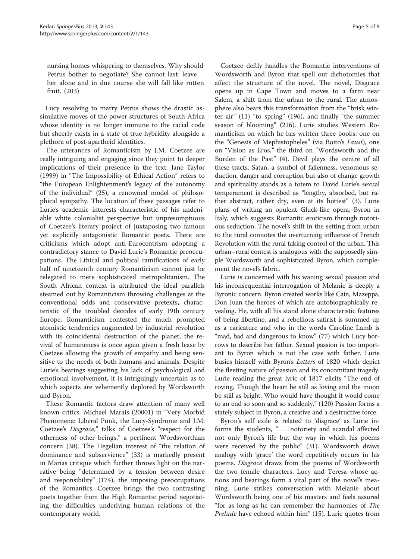nursing homes whispering to themselves. Why should Petrus bother to negotiate? She cannot last: leave her alone and in due course she will fall like rotten fruit. (203)

Lucy resolving to marry Petrus shows the drastic assimilative moves of the power structures of South Africa whose identity is no longer immune to the racial code but sheerly exists in a state of true hybridity alongside a plethora of post-apartheid identities.

The utterances of Romanticism by J.M. Coetzee are really intriguing and engaging since they point to deeper implications of their presence in the text. Jane Taylor ([1999](#page-8-0)) in "The Impossibility of Ethical Action" refers to "the European Enlightenment's legacy of the autonomy of the individual" (25), a renowned model of philosophical sympathy. The location of these passages refer to Lurie's academic interests characteristic of his undeniable white colonialist perspective but unpresumptuous of Coetzee's literary project of juxtaposing two famous yet explicitly antagonistic Romantic poets. There are criticisms which adopt anti-Eurocentrism adopting a contradictory stance to David Lurie's Romantic preoccupations. The Ethical and political ramifications of early half of nineteenth century Romanticism cannot just be relegated to mere sophisticated metropolitanism. The South African context is attributed the ideal parallels steamed out by Romanticism throwing challenges at the conventional odds and conservative pretexts, characteristic of the troubled decodes of early 19th century Europe. Romanticism contested the much prompted atomistic tendencies augmented by industrial revolution with its coincidental destruction of the planet, the revival of humaneness is once again given a fresh lease by Coetzee allowing the growth of empathy and being sensitive to the needs of both humans and animals. Despite Lurie's bearings suggesting his lack of psychological and emotional involvement, it is intriguingly uncertain as to which aspects are vehemently deplored by Wordsworth and Byron.

These Romantic factors draw attention of many well known critics. Michael Marais ([20001\)](#page-7-0) in "Very Morbid Phenomena: Liberal Punk, the Lucy-Syndrome and J.M. Coetzee's Disgrace," talks of Coetzee's "respect for the otherness of other beings," a pertinent Wordsworthian concern (38). The Hegelian interest of "the relation of dominance and subservience" (33) is markedly present in Marias critique which further throws light on the narrative being "determined by a tension between desire and responsibility" (174), the imposing preoccupations of the Romantics. Coetzee brings the two contrasting poets together from the High Romantic period negotiating the difficulties underlying human relations of the contemporary world.

Coetzee deftly handles the Romantic interventions of Wordsworth and Byron that spell out dichotomies that affect the structure of the novel. The novel, Disgrace opens up in Cape Town and moves to a farm near Salem, a shift from the urban to the rural. The atmosphere also bears this transformation from the "brisk winter air" (11) "to spring" (196), and finally "the summer season of blooming" (216). Lurie studies Western Romanticism on which he has written three books: one on the "Genesis of Mephistopheles" (via Boito's Faust), one on "Vision as Eros," the third on "Wordsworth and the Burden of the Past" (4). Devil plays the centre of all these tracts. Satan, a symbol of fallenness, venomous seduction, danger and corruption but also of change growth and spirituality stands as a totem to David Lurie's sexual temperament is described as "lengthy, absorbed, but rather abstract, rather dry, even at its hottest" (3). Lurie plans of writing an opulent Gluck-like opera, Byron in Italy, which suggests Romantic eroticism through notorious seduction. The novel's shift in the setting from urban to the rural connotes the overturning influence of French Revolution with the rural taking control of the urban. This urban–rural contest is analogous with the supposedly simple Wordsworth and sophisticated Byron, which complement the novel's fabric.

Lurie is concerned with his waning sexual passion and his inconsequential interrogation of Melanie is deeply a Byronic concern. Byron created works like Cain, Mazeppa, Don Juan the heroes of which are autobiographically revealing. He, with all his stand alone characteristic features of being libertine, and a rebellious satirist is summed up as a caricature and who in the words Caroline Lamb is "mad, bad and dangerous to know" (77) which Lucy borrows to describe her father. Sexual passion is too important to Byron which is not the case with father. Lurie busies himself with Byron's Letters of 1820 which depict the fleeting nature of passion and its concomitant tragedy. Lurie reading the great lyric of 1817 elicits "The end of roving. Though the heart be still as loving and the moon be still as bright. Who would have thought it would come to an end so soon and so suddenly." (120) Passion forms a stately subject in Byron, a creative and a destructive force.

Byron's self exile is related to 'disgrace' as Lurie informs the students, "... . notoriety and scandal affected not only Byron's life but the way in which his poems were received by the public" (31). Wordsworth draws analogy with 'grace' the word repetitively occurs in his poems. Disgrace draws from the poems of Wordsworth the two female characters, Lucy and Teresa whose actions and bearings form a vital part of the novel's meaning. Lurie strikes conversation with Melanie about Wordsworth being one of his masters and feels assured "for as long as he can remember the harmonies of The Prelude have echoed within him" (15). Lurie quotes from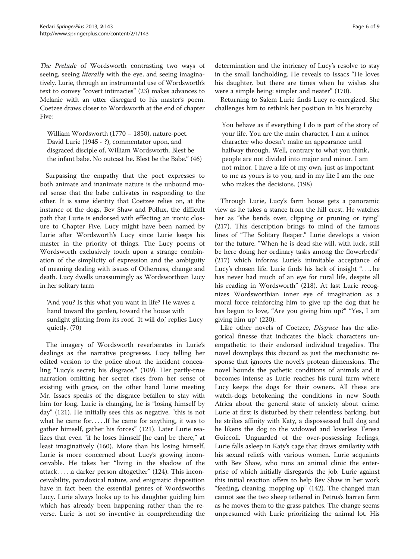The Prelude of Wordsworth contrasting two ways of seeing, seeing *literally* with the eye, and seeing imaginatively. Lurie, through an instrumental use of Wordsworth's text to convey "covert intimacies" (23) makes advances to Melanie with an utter disregard to his master's poem. Coetzee draws closer to Wordsworth at the end of chapter Five:

William Wordsworth (1770 – 1850), nature-poet. David Lurie (1945 - ?), commentator upon, and disgraced disciple of, William Wordsworth. Blest be the infant babe. No outcast he. Blest be the Babe." (46)

Surpassing the empathy that the poet expresses to both animate and inanimate nature is the unbound moral sense that the babe cultivates in responding to the other. It is same identity that Coetzee relies on, at the instance of the dogs, Bev Shaw and Pollux, the difficult path that Lurie is endorsed with effecting an ironic closure to Chapter Five. Lucy might have been named by Lurie after Wordsworth's Lucy since Lurie keeps his master in the priority of things. The Lucy poems of Wordsworth exclusively touch upon a strange combination of the simplicity of expression and the ambiguity of meaning dealing with issues of Otherness, change and death. Lucy dwells unassumingly as Wordsworthian Lucy in her solitary farm

'And you? Is this what you want in life? He waves a hand toward the garden, toward the house with sunlight glinting from its roof. 'It will do', replies Lucy quietly. (70)

The imagery of Wordsworth reverberates in Lurie's dealings as the narrative progresses. Lucy telling her edited version to the police about the incident concealing "Lucy's secret; his disgrace," (109). Her partly-true narration omitting her secret rises from her sense of existing with grace, on the other hand Lurie meeting Mr. Issacs speaks of the disgrace befallen to stay with him for long. Lurie is changing, he is "losing himself by day" (121). He initially sees this as negative, "this is not what he came for......If he came for anything, it was to gather himself, gather his forces" (121). Later Lurie realizes that even "if he loses himself [he can] be there," at least imaginatively (160). More than his losing himself, Lurie is more concerned about Lucy's growing inconceivable. He takes her "living in the shadow of the attack... . .a darker person altogether" (124). This inconceivability, paradoxical nature, and enigmatic disposition have in fact been the essential genres of Wordsworth's Lucy. Lurie always looks up to his daughter guiding him which has already been happening rather than the reverse. Lurie is not so inventive in comprehending the

determination and the intricacy of Lucy's resolve to stay in the small landholding. He reveals to Issacs "He loves his daughter, but there are times when he wishes she were a simple being: simpler and neater" (170).

Returning to Salem Lurie finds Lucy re-energized. She challenges him to rethink her position in his hierarchy

You behave as if everything I do is part of the story of your life. You are the main character, I am a minor character who doesn't make an appearance until halfway through. Well, contrary to what you think, people are not divided into major and minor. I am not minor. I have a life of my own, just as important to me as yours is to you, and in my life I am the one who makes the decisions. (198)

Through Lurie, Lucy's farm house gets a panoramic view as he takes a stance from the hill crest. He watches her as "she bends over, clipping or pruning or tying" (217). This description brings to mind of the famous lines of "The Solitary Reaper." Lurie develops a vision for the future. "When he is dead she will, with luck, still be here doing her ordinary tasks among the flowerbeds" (217) which informs Lurie's inimitable acceptance of Lucy's chosen life. Lurie finds his lack of insight ".... he has never had much of an eye for rural life, despite all his reading in Wordsworth" (218). At last Lurie recognizes Wordsworthian inner eye of imagination as a moral force reinforcing him to give up the dog that he has begun to love, "Are you giving him up?" "Yes, I am giving him up" (220).

Like other novels of Coetzee, Disgrace has the allegorical finesse that indicates the black characters unempathetic to their endorsed individual tragedies. The novel downplays this discord as just the mechanistic response that ignores the novel's protean dimensions. The novel bounds the pathetic conditions of animals and it becomes intense as Lurie reaches his rural farm where Lucy keeps the dogs for their owners. All these are watch-dogs betokening the conditions in new South Africa about the general state of anxiety about crime. Lurie at first is disturbed by their relentless barking, but he strikes affinity with Katy, a dispossessed bull dog and he likens the dog to the widowed and loverless Teresa Guiccoli. Unguarded of the over-possessing feelings, Lurie falls asleep in Katy's cage that draws similarity with his sexual reliefs with various women. Lurie acquaints with Bev Shaw, who runs an animal clinic the enterprise of which initially disregards the job. Lurie against this initial reaction offers to help Bev Shaw in her work "feeding, cleaning, mopping up" (142). The changed man cannot see the two sheep tethered in Petrus's barren farm as he moves them to the grass patches. The change seems unpresumed with Lurie prioritizing the animal lot. His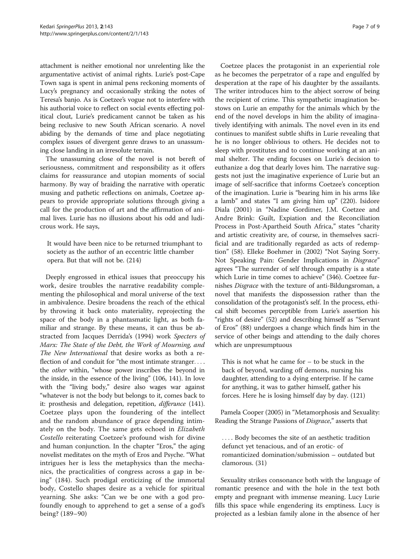attachment is neither emotional nor unrelenting like the argumentative activist of animal rights. Lurie's post-Cape Town saga is spent in animal pens reckoning moments of Lucy's pregnancy and occasionally striking the notes of Teresa's banjo. As is Coetzee's vogue not to interfere with his authorial voice to reflect on social events effecting political clout, Lurie's predicament cannot be taken as his being reclusive to new South African scenario. A novel abiding by the demands of time and place negotiating complex issues of divergent genre draws to an unassuming close landing in an irresolute terrain.

The unassuming close of the novel is not bereft of seriousness, commitment and responsibility as it offers claims for reassurance and utopian moments of social harmony. By way of braiding the narrative with operatic musing and pathetic reflections on animals, Coetzee appears to provide appropriate solutions through giving a call for the production of art and the affirmation of animal lives. Lurie has no illusions about his odd and ludicrous work. He says,

It would have been nice to be returned triumphant to society as the author of an eccentric little chamber opera. But that will not be. (214)

Deeply engrossed in ethical issues that preoccupy his work, desire troubles the narrative readability complementing the philosophical and moral universe of the text in ambivalence. Desire broadens the reach of the ethical by throwing it back onto materiality, reprojecting the space of the body in a phantasmatic light, as both familiar and strange. By these means, it can thus be abstracted from Jacques Derrida's ([1994\)](#page-7-0) work Specters of Marx: The State of the Debt, the Work of Mourning, and The New International that desire works as both a reflection of and conduit for "the most intimate stranger... . the other within, "whose power inscribes the beyond in the inside, in the essence of the living" (106, 141). In love with the "living body," desire also wages war against "whatever is not the body but belongs to it, comes back to it: prosthesis and delegation, repetition, differance (141). Coetzee plays upon the foundering of the intellect and the random abundance of grace depending intimately on the body. The same gets echoed in *Elizabeth* Costello reiterating Coetzee's profound wish for divine and human conjunction. In the chapter "Eros," the aging novelist meditates on the myth of Eros and Psyche. "What intrigues her is less the metaphysics than the mechanics, the practicalities of congress across a gap in being" (184). Such prodigal eroticizing of the immortal body, Costello shapes desire as a vehicle for spiritual yearning. She asks: "Can we be one with a god profoundly enough to apprehend to get a sense of a god's being? (189–90)

Coetzee places the protagonist in an experiential role as he becomes the perpetrator of a rape and engulfed by desperation at the rape of his daughter by the assailants. The writer introduces him to the abject sorrow of being the recipient of crime. This sympathetic imagination bestows on Lurie an empathy for the animals which by the end of the novel develops in him the ability of imaginatively identifying with animals. The novel even in its end continues to manifest subtle shifts in Lurie revealing that he is no longer oblivious to others. He decides not to sleep with prostitutes and to continue working at an animal shelter. The ending focuses on Lurie's decision to euthanize a dog that dearly loves him. The narrative suggests not just the imaginative experience of Lurie but an image of self-sacrifice that informs Coetzee's conception of the imagination. Lurie is "bearing him in his arms like a lamb" and states "I am giving him up" (220). Isidore Diala ([2001](#page-7-0)) in "Nadine Gordimer, J.M. Coetzee and Andre Brink: Guilt, Expiation and the Reconciliation Process in Post-Apartheid South Africa," states "charity and artistic creativity are, of course, in themselves sacrificial and are traditionally regarded as acts of redemption" (58). Elleke Boehmer in [\(2002](#page-7-0)) "Not Saying Sorry. Not Speaking Pain: Gender Implications in Disgrace" agrees "The surrender of self through empathy is a state which Lurie in time comes to achieve" (346). Coetzee furnishes Disgrace with the texture of anti-Bildungsroman, a novel that manifests the dispossession rather than the consolidation of the protagonist's self. In the process, ethical shift becomes perceptible from Lurie's assertion his "rights of desire" (52) and describing himself as "Servant of Eros" (88) undergoes a change which finds him in the service of other beings and attending to the daily chores which are unpresumptuous

This is not what he came for – to be stuck in the back of beyond, warding off demons, nursing his daughter, attending to a dying enterprise. If he came for anything, it was to gather himself, gather his forces. Here he is losing himself day by day. (121)

Pamela Cooper [\(2005\)](#page-7-0) in "Metamorphosis and Sexuality: Reading the Strange Passions of Disgrace," asserts that

... . Body becomes the site of an aesthetic tradition defunct yet tenacious, and of an erotic- of romanticized domination/submission – outdated but clamorous. (31)

Sexuality strikes consonance both with the language of romantic presence and with the hole in the text both empty and pregnant with immense meaning. Lucy Lurie fills this space while engendering its emptiness. Lucy is projected as a lesbian family alone in the absence of her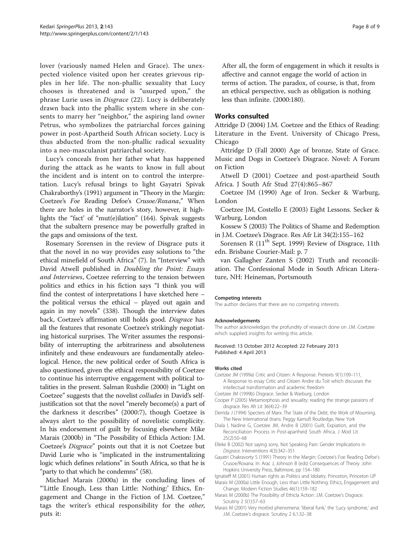<span id="page-7-0"></span>lover (variously named Helen and Grace). The unexpected violence visited upon her creates grievous ripples in her life. The non-phallic sexuality that Lucy chooses is threatened and is "usurped upon," the phrase Lurie uses in Disgrace (22). Lucy is deliberately drawn back into the phallic system where in she consents to marry her "neighbor," the aspiring land owner Petrus, who symbolizes the patriarchal forces gaining power in post-Apartheid South African society. Lucy is thus abducted from the non-phallic radical sexuality into a neo-masculanist patriarchal society.

Lucy's conceals from her father what has happened during the attack as he wants to know in full about the incident and is intent on to control the interpretation. Lucy's refusal brings to light Gayatri Spivak Chakraborthy's (1991) argument in "Theory in the Margin: Coetzee's Foe Reading Defoe's Crusoe/Roxana," When there are holes in the narrator's story, however, it highlights the "fact' of "mut(e)ilation" (164). Spivak suggests that the subaltern presence may be powerfully grafted in the gaps and omissions of the text.

Rosemary Sorensen in the review of Disgrace puts it that the novel in no way provides easy solutions to "the ethical minefield of South Africa" (7). In "Interview" with David Atwell published in Doubling the Point: Essays and Interviews, Coetzee referring to the tension between politics and ethics in his fiction says "I think you will find the contest of interpretations I have sketched here – the political versus the ethical – played out again and again in my novels" (338). Though the interview dates back, Coetzee's affirmation still holds good. Disgrace has all the features that resonate Coetzee's strikingly negotiating historical surprises. The Writer assumes the responsibility of interrupting the arbitrariness and absoluteness infinitely and these endeavours are fundamentally ateleological. Hence, the new political order of South Africa is also questioned, given the ethical responsibility of Coetzee to continue his interruptive engagement with political totalities in the present. Salman Rushdie ([2000](#page-8-0)) in "Light on Coetzee" suggests that the novelist colludes in David's selfjustification sot that the novel "merely become(s) a part of the darkness it describes" (2000:7), though Coetzee is always alert to the possibility of novelistic complicity. In his endorsement of guilt by focusing elsewhere Mike Marais (2000b) in "The Possibility of Ethicla Action: J.M. Coetzee's Disgrace" points out that it is not Coetzee but David Lurie who is "implicated in the instrumentalizing logic which defines relations" in South Africa, so that he is "party to that which he condemns" (58).

Michael Marais (2000a) in the concluding lines of "'Little Enough, Less than Little: Nothing:' Ethics, Engagement and Change in the Fiction of J.M. Coetzee," tags the writer's ethical responsibility for the other, puts it:

After all, the form of engagement in which it results is affective and cannot engage the world of action in terms of action. The paradox, of course, is that, from an ethical perspective, such as obligation is nothing less than infinite. (2000:180).

### Works consulted

Attridge D (2004) J.M. Coetzee and the Ethics of Reading: Literature in the Event. University of Chicago Press, Chicago

Attridge D (Fall 2000) Age of bronze, State of Grace. Music and Dogs in Coetzee's Disgrace. Novel: A Forum on Fiction

Atwell D (2001) Coetzee and post-apartheid South Africa. J South Afr Stud 27(4):865–867

Coetzee JM (1990) Age of Iron. Secker & Warburg, London

Coetzee JM, Costello E (2003) Eight Lessons. Secker & Warburg, London

Kossew S (2003) The Politics of Shame and Redemption in J.M. Coetzee's Disgrace. Res Afr Lit 34(2):155–162

Sorensen R (11<sup>th</sup> Sept. 1999) Review of Disgrace, 11th edn. Brisbane Courier-Mail: p. 7

van Gallagher Zanten S (2002) Truth and reconciliation. The Confessional Mode in South African Literature, NH: Heineman, Portsmouth

#### Competing interests

The author declares that there are no competing interests.

#### Acknowledgements

The author acknowledges the profundity of research done on J.M. Coetzee which supplied insights for writing this article.

Received: 13 October 2012 Accepted: 22 February 2013 Published: 4 April 2013

#### Works cited

- Coetzee JM (1999a) Critic and Citizen: A Response. Pretexts 9(1):109–111, A Response to essay Critic and Citizen Andre du Toit which discusses the intellectual transformation and academic freedom
- Coetzee JM (1999b) Disgrace. Secker & Warburg, London
- Cooper P (2005) Metamorphosis and sexuality: reading the strange passions of disgrace. Res Afr Lit 36(4):22–39
- Derrida J (1994) Specters of Marx: The State of the Debt, the Work of Mourning. The New International (trans: Peggy Kamuf) Routledge, New York
- Diala I, Nadine G, Coetzee JM, Andre B (2001) Guilt, Expiation, and the Reconciliation Process in Post-apartheid South Africa. J Mod Lit 25(2):50–68
- Elleke B (2002) Not saying sorry, Not Speaking Pain: Gender Implications in Disgrace. Interventions 4(3):342–<sup>351</sup>

Gayatri Chakravorty S (1991) Theory in the Margin: Coetzee's Foe Reading Defoe's Crusoe/Roxana. In: Arac J, Johnson B (eds) Consequences of Theory. John Hopkins University Press, Baltimore, pp 154–180

Ignatieff M (2001) Human rights as Politics and Idolatry. Princeton, Princeton UP Marais M (2000a) Little Enough, Less than Little Nothing: Ethics, Engagement and

Change. Modern Fiction Studies 46(1):159–182 Marais M (2000b) The Possibility of Ethicla Action: J.M. Coetzee's Disgrace.

Scrutiny 2 5(1):57–63 Marais M (2001) Very morbid phenomena: 'liberal funk,' the 'Lucy syndrome,' and J.M. Coetzee's disgrace. Scrutiny 2 6.1:32–38